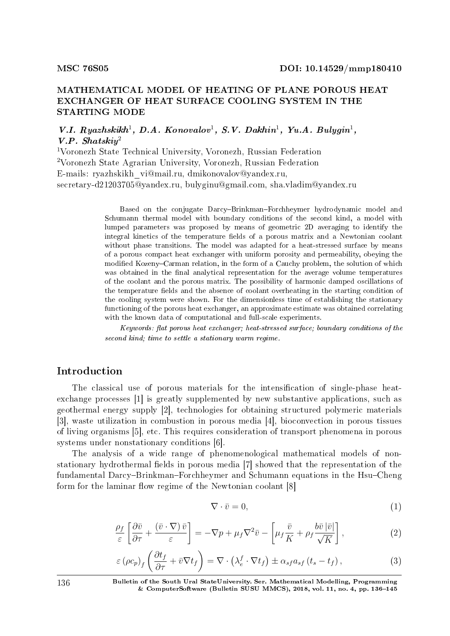# MATHEMATICAL MODEL OF HEATING OF PLANE POROUS HEAT EXCHANGER OF HEAT SURFACE COOLING SYSTEM IN THE STARTING MODE

V.I. Ryazhskikh<sup>1</sup>, D.A. Konovalov<sup>1</sup>, S.V. Dakhin<sup>1</sup>, Yu.A. Bulygin<sup>1</sup>, V.P. Shatski $v^2$ 

<sup>1</sup>Voronezh State Technical University, Voronezh, Russian Federation <sup>2</sup>Voronezh State Agrarian University, Voronezh, Russian Federation E-mails: ryazhskikh\_vi@mail.ru, dmikonovalov@yandex.ru, secretary-d21203705@yandex.ru, bulyginu@gmail.com, sha.vladim@yandex.ru

> Based on the conjugate Darcy-Brinkman-Forchheymer hydrodynamic model and Schumann thermal model with boundary conditions of the second kind, a model with lumped parameters was proposed by means of geometric 2D averaging to identify the integral kinetics of the temperature fields of a porous matrix and a Newtonian coolant without phase transitions. The model was adapted for a heat-stressed surface by means of a porous compact heat exchanger with uniform porosity and permeability, obeying the modified Kozeny-Carman relation, in the form of a Cauchy problem, the solution of which was obtained in the final analytical representation for the average volume temperatures of the coolant and the porous matrix. The possibility of harmonic damped oscillations of the temperature fields and the absence of coolant overheating in the starting condition of the cooling system were shown. For the dimensionless time of establishing the stationary functioning of the porous heat exchanger, an approximate estimate was obtained correlating with the known data of computational and full-scale experiments.

> Keywords: flat porous heat exchanger; heat-stressed surface; boundary conditions of the second kind; time to settle a stationary warm regime.

# Introduction

The classical use of porous materials for the intensification of single-phase heatexchange processes [1] is greatly supplemented by new substantive applications, such as geothermal energy supply [2], technologies for obtaining structured polymeric materials [3], waste utilization in combustion in porous media [4], bioconvection in porous tissues of living organisms [5], etc. This requires consideration of transport phenomena in porous systems under nonstationary conditions [6].

The analysis of a wide range of phenomenological mathematical models of nonstationary hydrothermal fields in porous media [7] showed that the representation of the fundamental Darcy-Brinkman-Forchheymer and Schumann equations in the Hsu-Cheng form for the laminar flow regime of the Newtonian coolant [8]

$$
\nabla \cdot \bar{v} = 0,\tag{1}
$$

$$
\frac{\rho_f}{\varepsilon} \left[ \frac{\partial \bar{v}}{\partial \tau} + \frac{(\bar{v} \cdot \nabla) \bar{v}}{\varepsilon} \right] = -\nabla p + \mu_f \nabla^2 \bar{v} - \left[ \mu_f \frac{\bar{v}}{K} + \rho_f \frac{b \bar{v} |\bar{v}|}{\sqrt{K}} \right],\tag{2}
$$

$$
\varepsilon \left( \rho c_p \right)_f \left( \frac{\partial t_f}{\partial \tau} + \bar{v} \nabla t_f \right) = \nabla \cdot \left( \lambda_e^f \cdot \nabla t_f \right) \pm \alpha_{sf} a_{sf} \left( t_s - t_f \right), \tag{3}
$$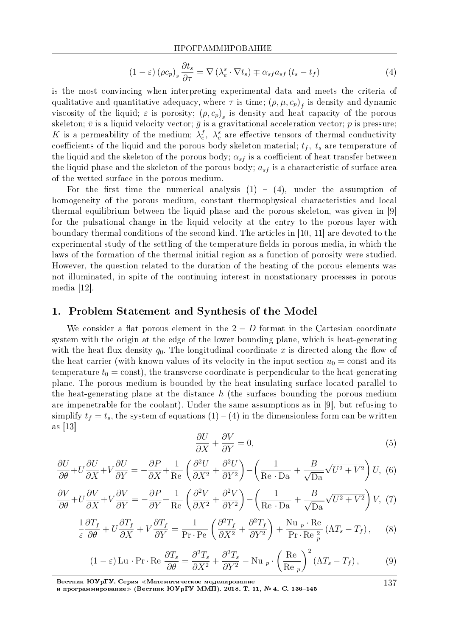$$
(1 - \varepsilon) (\rho c_p)_s \frac{\partial t_s}{\partial \tau} = \nabla (\lambda_e^s \cdot \nabla t_s) \mp \alpha_{sf} a_{sf} (t_s - t_f)
$$
\n(4)

is the most convincing when interpreting experimental data and meets the criteria of qualitative and quantitative adequacy, where  $\tau$  is time;  $(\rho, \mu, c_p)_f$  is density and dynamic viscosity of the liquid;  $\varepsilon$  is porosity;  $(\rho, c_p)_s$  is density and heat capacity of the porous skeleton;  $\bar{v}$  is a liquid velocity vector;  $\bar{g}$  is a gravitational acceleration vector;  $p$  is pressure; *K* is a permeability of the medium;  $\lambda_e^f$ ,  $\lambda_e^s$  are effective tensors of thermal conductivity coefficients of the liquid and the porous body skeleton material;  $t_f$ ,  $t_s$  are temperature of the liquid and the skeleton of the porous body;  $\alpha_{sf}$  is a coefficient of heat transfer between the liquid phase and the skeleton of the porous body;  $a_{sf}$  is a characteristic of surface area of the wetted surface in the porous medium.

For the first time the numerical analysis  $(1) - (4)$ , under the assumption of homogeneity of the porous medium, constant thermophysical characteristics and local thermal equilibrium between the liquid phase and the porous skeleton, was given in [9] for the pulsational change in the liquid velocity at the entry to the porous layer with boundary thermal conditions of the second kind. The articles in [10, 11] are devoted to the experimental study of the settling of the temperature fields in porous media, in which the laws of the formation of the thermal initial region as a function of porosity were studied. However, the question related to the duration of the heating of the porous elements was not illuminated, in spite of the continuing interest in nonstationary processes in porous media [12].

## 1. Problem Statement and Synthesis of the Model

We consider a flat porous element in the  $2 - D$  format in the Cartesian coordinate system with the origin at the edge of the lower bounding plane, which is heat-generating with the heat flux density  $q_0$ . The longitudinal coordinate x is directed along the flow of the heat carrier (with known values of its velocity in the input section  $u_0 = \text{const}$  and its temperature  $t_0 = \text{const}$ , the transverse coordinate is perpendicular to the heat-generating plane. The porous medium is bounded by the heat-insulating surface located parallel to the heat-generating plane at the distance *h* (the surfaces bounding the porous medium are impenetrable for the coolant). Under the same assumptions as in [9], but refusing to simplify  $t_f = t_s$ , the system of equations  $(1) - (4)$  in the dimensionless form can be written as [13]

$$
\frac{\partial U}{\partial X} + \frac{\partial V}{\partial Y} = 0,\t\t(5)
$$

$$
\frac{\partial U}{\partial \theta} + U \frac{\partial U}{\partial X} + V \frac{\partial U}{\partial Y} = -\frac{\partial P}{\partial X} + \frac{1}{\text{Re}} \left( \frac{\partial^2 U}{\partial X^2} + \frac{\partial^2 U}{\partial Y^2} \right) - \left( \frac{1}{\text{Re} \cdot \text{Da}} + \frac{B}{\sqrt{\text{Da}}} \sqrt{U^2 + V^2} \right) U, \tag{6}
$$

$$
\frac{\partial V}{\partial \theta} + U \frac{\partial V}{\partial X} + V \frac{\partial V}{\partial Y} = -\frac{\partial P}{\partial Y} + \frac{1}{\text{Re}} \left( \frac{\partial^2 V}{\partial X^2} + \frac{\partial^2 V}{\partial Y^2} \right) - \left( \frac{1}{\text{Re} \cdot \text{Da}} + \frac{B}{\sqrt{\text{Da}}} \sqrt{U^2 + V^2} \right) V, (7)
$$

$$
\frac{1}{\varepsilon} \frac{\partial T_f}{\partial \theta} + U \frac{\partial T_f}{\partial X} + V \frac{\partial T_f}{\partial Y} = \frac{1}{\text{Pr} \cdot \text{Pe}} \left( \frac{\partial^2 T_f}{\partial X^2} + \frac{\partial^2 T_f}{\partial Y^2} \right) + \frac{\text{Nu } p \cdot \text{Re}}{\text{Pr} \cdot \text{Re } \frac{2}{p}} \left( \Lambda T_s - T_f \right), \tag{8}
$$

$$
(1 - \varepsilon) \operatorname{Lu} \cdot \operatorname{Pr} \cdot \operatorname{Re} \frac{\partial T_s}{\partial \theta} = \frac{\partial^2 T_s}{\partial X^2} + \frac{\partial^2 T_s}{\partial Y^2} - \operatorname{Nu} \left( \frac{\operatorname{Re}}{\operatorname{Re} \left( \frac{\partial T_s}{\partial X} - T_f \right)} \right) \tag{9}
$$

Вестник ЮУрГУ. Серия «Математическое моделирование

и программирование≫ (Вестник ЮУрГУ ММП). 2018. T. 11, № 4. C. 136–145

137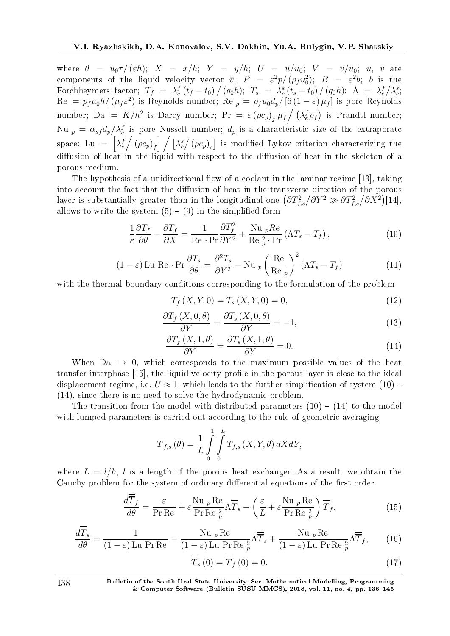where  $\theta = u_0 \tau / (\varepsilon h)$ ;  $X = x/h$ ;  $Y = y/h$ ;  $U = u/u_0$ ;  $V = v/u_0$ ;  $u, v$  are components of the liquid velocity vector  $\bar{v}$ ;  $P = \varepsilon^2 p / (\rho_f u_0^2)$ ;  $B = \varepsilon^2 b$ ; *b* is the Forchheymers factor;  $T_f = \lambda_e^f (t_f - t_0) / (q_0 h)$ ;  $T_s = \lambda_e^s (t_s - t_0) / (q_0 h)$ ;  $\Lambda = \lambda_e^f / \lambda_e^s$ ;  $\text{Re} = p_f u_0 h / (\mu_f \varepsilon^2)$  is Reynolds number;  $\text{Re} p = \rho_f u_0 d_p / [6(1-\varepsilon) \mu_f]$  is pore Reynolds number; Da =  $K/h^2$  is Darcy number; Pr =  $\varepsilon (\rho c_p)_f \mu_f/(\lambda_e^f \rho_f)$  is Prandtl number; Nu  $_p = \alpha_{sf} d_p / \lambda_e^f$  is pore Nusselt number;  $d_p$  is a characteristic size of the extraporate space; Lu =  $\lambda_e^f$  $\left[\left(\rho c_p\right)_f\right]$   $\left[\left(\lambda_e^s\right)\left(\rho c_p\right)_s\right]$  is modified Lykov criterion characterizing the diffusion of heat in the liquid with respect to the diffusion of heat in the skeleton of a porous medium.

The hypothesis of a unidirectional flow of a coolant in the laminar regime [13], taking into account the fact that the diffusion of heat in the transverse direction of the porous layer is substantially greater than in the longitudinal one  $(\partial T_{f,s}^2/\partial Y^2 \gg \partial T_{f,s}^2/\partial X^2)$ [14], allows to write the system  $(5) - (9)$  in the simplified form

$$
\frac{1}{\varepsilon} \frac{\partial T_f}{\partial \theta} + \frac{\partial T_f}{\partial X} = \frac{1}{\text{Re} \cdot \text{Pr}} \frac{\partial T_f^2}{\partial Y^2} + \frac{\text{Nu }_p \text{Re}}{\text{Re }_{p}^2 \cdot \text{Pr}} \left( \Lambda T_s - T_f \right),\tag{10}
$$

$$
(1 - \varepsilon) \operatorname{Lu} \operatorname{Re} \cdot \operatorname{Pr} \frac{\partial T_s}{\partial \theta} = \frac{\partial^2 T_s}{\partial Y^2} - \operatorname{Nu} \left( \frac{\operatorname{Re}}{\operatorname{Re} \left( \frac{\operatorname{Re}}{\operatorname{Re} \left( \frac{\operatorname{Re}}{\operatorname{Re} \left( \frac{\operatorname{Re}}{\operatorname{Re} \left( \frac{\operatorname{Re}}{\operatorname{Re} \left( \frac{\operatorname{Re}}{\operatorname{Re} \left( \frac{\operatorname{Re}}{\operatorname{Re} \left( \frac{\operatorname{Re}}{\operatorname{Re} \left( \frac{\operatorname{Re}}{\operatorname{Re} \left( \frac{\operatorname{Re} \left( \frac{\operatorname{Re}}{\operatorname{Re} \left( \frac{\operatorname{Re} \left( \frac{\operatorname{Re} \left( \frac{\operatorname{Re} \left( \frac{\operatorname{Re} \left( \frac{\operatorname{Re} \left( \frac{\operatorname{Re} \left( \frac{\operatorname{Re} \left( \frac{\operatorname{Re} \left( \frac{\operatorname{Re} \left( \frac{\operatorname{Re} \left( \frac{\operatorname{Re} \left( \frac{\operatorname{Re} \left( \frac{\operatorname{Re} \left( \frac{\operatorname{Re} \left( \frac{\operatorname{Re} \left( \frac{\operatorname{Re} \left( \frac{\operatorname{Re} \left( \frac{\operatorname{Re} \left( \frac{\operatorname{Re} \left( \frac{\operatorname{Re} \left( \frac{\operatorname{Re} \left( \frac{\operatorname{Re} \left( \frac{\operatorname{Re} \left( \frac{\operatorname{Re} \left( \frac{\operatorname{Re} \left( \frac{\operatorname{Re} \left( \frac{\operatorname{Re} \left( \frac{\operatorname{Re} \left( \frac{\operatorname{Re} \left( \frac{\operatorname{Re} \left( \frac{\operatorname{Re} \left( \frac{\operatorname{Re} \left( \frac{\operatorname{Re} \left( \frac{\operatorname{Re} \left( \frac{\operatorname{Re} \left( \frac{\operatorname{Re} \left( \frac{\operatorname{Re} \left( \frac{\operatorname{Re} \left( \frac{\operatorname{Re} \left( \frac{\operatorname{Re} \left( \frac{\operatorname{Re} \left( \frac{\operatorname{Re} \left( \frac{\operatorname{Re} \left( \frac{\operatorname{Re} \left( \frac{\operatorname{Re} \left( \frac{\operatorname{Re} \left( \frac{\operatorname{Re
$$

with the thermal boundary conditions corresponding to the formulation of the problem

$$
T_f(X, Y, 0) = T_s(X, Y, 0) = 0,\t(12)
$$

$$
\frac{\partial T_f(X,0,\theta)}{\partial Y} = \frac{\partial T_s(X,0,\theta)}{\partial Y} = -1,\tag{13}
$$

$$
\frac{\partial T_f(X,1,\theta)}{\partial Y} = \frac{\partial T_s(X,1,\theta)}{\partial Y} = 0.
$$
\n(14)

When  $Da \rightarrow 0$ , which corresponds to the maximum possible values of the heat transfer interphase [15], the liquid velocity profile in the porous layer is close to the ideal displacement regime, i.e.  $U \approx 1$ , which leads to the further simplification of system (10) – (14), since there is no need to solve the hydrodynamic problem.

The transition from the model with distributed parameters  $(10) - (14)$  to the model with lumped parameters is carried out according to the rule of geometric averaging

$$
\overline{\overline{T}}_{f,s}(\theta) = \frac{1}{L} \int\limits_0^1 \int\limits_0^L T_{f,s}(X,Y,\theta) dX dY,
$$

where  $L = l/h$ , *l* is a length of the porous heat exchanger. As a result, we obtain the Cauchy problem for the system of ordinary differential equations of the first order

$$
\frac{d\overline{T}_f}{d\theta} = \frac{\varepsilon}{\Pr \operatorname{Re}} + \varepsilon \frac{\operatorname{Nu} \, p \operatorname{Re}}{\Pr \operatorname{Re} \, \frac{2}{p}} \Lambda \overline{\overline{T}}_s - \left(\frac{\varepsilon}{L} + \varepsilon \frac{\operatorname{Nu} \, p \operatorname{Re}}{\Pr \operatorname{Re} \, \frac{2}{p}}\right) \overline{\overline{T}}_f,\tag{15}
$$

$$
\frac{d\overline{\overline{T}}_s}{d\theta} = \frac{1}{(1-\varepsilon)\operatorname{Lu}\Pr\operatorname{Re}} - \frac{\operatorname{Nu} \, _p \operatorname{Re}}{(1-\varepsilon)\operatorname{Lu}\Pr\operatorname{Re} \, _p^2} \Lambda \overline{\overline{T}}_s + \frac{\operatorname{Nu} \, _p \operatorname{Re}}{(1-\varepsilon)\operatorname{Lu}\Pr\operatorname{Re} \, _p^2} \Lambda \overline{\overline{T}}_f, \qquad (16)
$$

$$
\overline{\overline{T}}_{s}(0) = \overline{\overline{T}}_{f}(0) = 0. \qquad (17)
$$

138 Bulletin of the South Ural State University. Ser. Mathematical Modelling, Programming & Computer Software (Bulletin SUSU MMCS), 2018, vol. 11, no. 4, pp. 136-145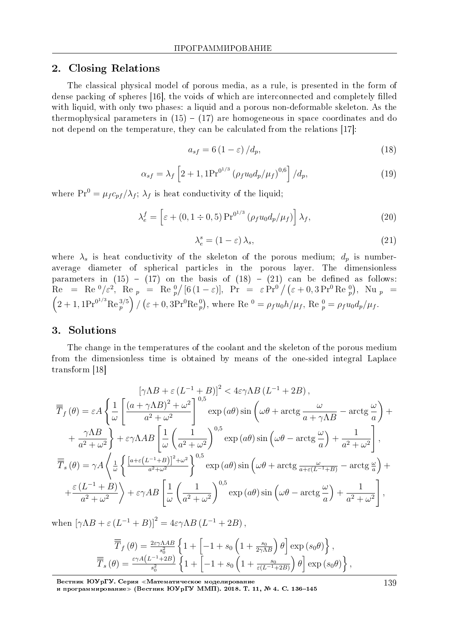## 2. Closing Relations

The classical physical model of porous media, as a rule, is presented in the form of dense packing of spheres [16], the voids of which are interconnected and completely filled with liquid, with only two phases: a liquid and a porous non-deformable skeleton. As the thermophysical parameters in  $(15) - (17)$  are homogeneous in space coordinates and do not depend on the temperature, they can be calculated from the relations [17]:

$$
a_{sf} = 6(1 - \varepsilon) / d_p,
$$
\n(18)

$$
\alpha_{sf} = \lambda_f \left[ 2 + 1, 1 \text{Pr}^{0^{1/3}} \left( \rho_f u_0 d_p / \mu_f \right)^{0,6} \right] / d_p, \tag{19}
$$

where  $Pr^0 = \mu_f c_{pf} / \lambda_f$ ;  $\lambda_f$  is heat conductivity of the liquid;

$$
\lambda_e^f = \left[ \varepsilon + (0, 1 \div 0, 5) \Pr^{0^{1/3}} \left( \rho_f u_0 d_p / \mu_f \right) \right] \lambda_f, \tag{20}
$$

$$
\lambda_e^s = (1 - \varepsilon) \lambda_s,\tag{21}
$$

where  $\lambda_s$  is heat conductivity of the skeleton of the porous medium;  $d_p$  is numberaverage diameter of spherical particles in the porous layer. The dimensionless parameters in  $(15) - (17)$  on the basis of  $(18) - (21)$  can be defined as follows:  $\text{Re} = \text{Re}^{0}/\varepsilon^{2}$ ,  $\text{Re} p = \text{Re}^{0}/[6(1-\varepsilon)], \text{ Pr} = \varepsilon \text{Pr}^{0}/(\varepsilon + 0.3 \text{Pr}^{0} \text{Re}^{0}), \text{ Nu} p =$ <br> $\text{(2, 1, 1, Pr^{0^{1/3}} \text{Re}^{3/5})}/(\varepsilon + 0.3 \text{Pr}^{0} \text{Re}^{0})$ , where  $\text{Re}^{0} = \varepsilon$  is  $h/u$ .  $\text{Re}^{0} = \varepsilon$  is  $d/u$ .  $2 + 1$ ,  $1Pr^{0^{1/3}}$ Re  $_p^{3/5}$  $\int$  / ( $\varepsilon$  + 0, 3Pr<sup>0</sup>Re<sub>p</sub><sup>0</sup>), where Re<sup>0</sup> =  $\rho_f u_0 h / \mu_f$ , Re<sub>p</sub><sup>0</sup> =  $\rho_f u_0 d_p / \mu_f$ .

### 3. Solutions

The change in the temperatures of the coolant and the skeleton of the porous medium from the dimensionless time is obtained by means of the one-sided integral Laplace transform [18]

$$
\left[\gamma \Lambda B + \varepsilon \left(L^{-1} + B\right)\right]^2 < 4\varepsilon \gamma \Lambda B \left(L^{-1} + 2B\right),
$$
\n
$$
\overline{T}_f(\theta) = \varepsilon A \left\{ \frac{1}{\omega} \left[ \frac{\left(a + \gamma \Lambda B\right)^2 + \omega^2}{a^2 + \omega^2} \right]^{0,5} \exp\left(a\theta\right) \sin\left(\omega\theta + \arctg\frac{\omega}{a + \gamma \Lambda B} - \arctg\frac{\omega}{a}\right) + \frac{\gamma \Lambda B}{a^2 + \omega^2} \right\} + \varepsilon \gamma \Lambda AB \left[ \frac{1}{\omega} \left(\frac{1}{a^2 + \omega^2}\right)^{0,5} \exp\left(a\theta\right) \sin\left(\omega\theta - \arctg\frac{\omega}{a}\right) + \frac{1}{a^2 + \omega^2} \right],
$$
\n
$$
\overline{\overline{T}}_s(\theta) = \gamma A \left\{ \frac{1}{\omega} \left\{ \frac{\left[a + \varepsilon \left(L^{-1} + B\right)\right]^2 + \omega^2}{a^2 + \omega^2} \right\}^{0,5} \exp\left(a\theta\right) \sin\left(\omega\theta + \arctg\frac{\omega}{a + \varepsilon \left(L^{-1} + B\right)} - \arctg\frac{\omega}{a}\right) + \frac{\varepsilon \left(L^{-1} + B\right)}{a^2 + \omega^2} \right\} + \varepsilon \gamma AB \left[ \frac{1}{\omega} \left(\frac{1}{a^2 + \omega^2}\right)^{0,5} \exp\left(a\theta\right) \sin\left(\omega\theta - \arctg\frac{\omega}{a}\right) + \frac{1}{a^2 + \omega^2} \right],
$$

when  $[\gamma \Lambda B + \varepsilon (L^{-1} + B)]^2 = 4\varepsilon \gamma \Lambda B (L^{-1} + 2B)$ ,

$$
\overline{\overline{T}}_f(\theta) = \frac{2\varepsilon\gamma\Lambda AB}{s_0^2} \left\{ 1 + \left[ -1 + s_0 \left( 1 + \frac{s_0}{2\gamma\Lambda B} \right) \theta \right] \exp(s_0\theta) \right\},
$$
\n
$$
\overline{\overline{T}}_s(\theta) = \frac{\varepsilon\gamma A (L^{-1} + 2B)}{s_0^2} \left\{ 1 + \left[ -1 + s_0 \left( 1 + \frac{s_0}{\varepsilon (L^{-1} + 2B)} \right) \theta \right] \exp(s_0\theta) \right\},
$$

Вестник ЮУрГУ. Серия «Математическое моделирование

и программирование≫ (Вестник ЮУрГУ ММП). 2018. T. 11, № 4. C. 136–145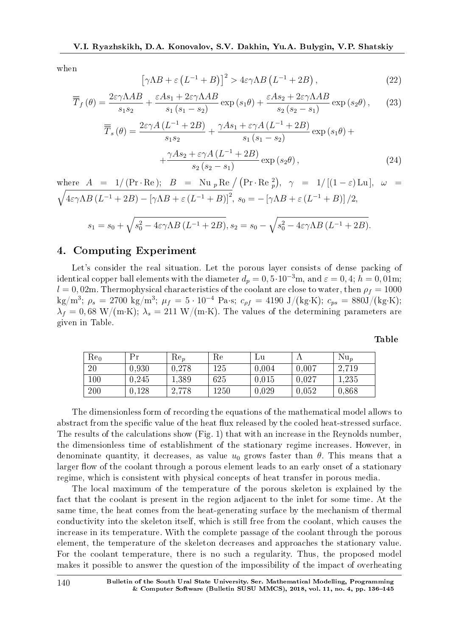when

$$
\left[\gamma \Lambda B + \varepsilon \left(L^{-1} + B\right)\right]^2 > 4\varepsilon \gamma \Lambda B \left(L^{-1} + 2B\right),\tag{22}
$$

$$
\overline{\overline{T}}_f(\theta) = \frac{2\varepsilon\gamma\Lambda AB}{s_1s_2} + \frac{\varepsilon As_1 + 2\varepsilon\gamma\Lambda AB}{s_1\left(s_1 - s_2\right)}\exp\left(s_1\theta\right) + \frac{\varepsilon As_2 + 2\varepsilon\gamma\Lambda AB}{s_2\left(s_2 - s_1\right)}\exp\left(s_2\theta\right),\tag{23}
$$

$$
\overline{\overline{T}}_s(\theta) = \frac{2\varepsilon\gamma A (L^{-1} + 2B)}{s_1 s_2} + \frac{\gamma As_1 + \varepsilon\gamma A (L^{-1} + 2B)}{s_1 (s_1 - s_2)} \exp(s_1 \theta) + \frac{\gamma As_2 + \varepsilon\gamma A (L^{-1} + 2B)}{s_2 (s_2 - s_1)} \exp(s_2 \theta),
$$
\n(24)

where 
$$
A = 1/(\Pr \cdot \text{Re})
$$
;  $B = \text{Nu}_p \text{Re} / (\Pr \cdot \text{Re}_p^2)$ ,  $\gamma = 1/[(1-\varepsilon)\text{Lu}]$ ,  $\omega = \sqrt{4\varepsilon\gamma\Lambda B (L^{-1} + 2B) - [\gamma\Lambda B + \varepsilon (L^{-1} + B)]^2}$ ,  $s_0 = -[\gamma\Lambda B + \varepsilon (L^{-1} + B)]/2$ ,

$$
s_1 = s_0 + \sqrt{s_0^2 - 4\varepsilon \gamma \Lambda B (L^{-1} + 2B)}, s_2 = s_0 - \sqrt{s_0^2 - 4\varepsilon \gamma \Lambda B (L^{-1} + 2B)}.
$$

## 4. Computing Experiment

Let's consider the real situation. Let the porous layer consists of dense packing of identical copper ball elements with the diameter  $d_p = 0, 5 \cdot 10^{-3}$ m, and  $\varepsilon = 0, 4$ ;  $h = 0, 01$ m;  $l = 0,02$ m. Thermophysical characteristics of the coolant are close to water, then  $\rho_f = 1000$  $\log/m^3$ ;  $\rho_s = 2700 \text{ kg/m}^3$ ;  $\mu_f = 5 \cdot 10^{-4} \text{ Pa·s}; c_{\rho f} = 4190 \text{ J/(kg·K)}$ ;  $c_{ps} = 880 \text{J/(kg·K)}$ ;  $\lambda_f = 0.68 \text{ W/(m·K)}$ ;  $\lambda_s = 211 \text{ W/(m·K)}$ . The values of the determining parameters are given in Table.

| $Re_0$ | Рr    | $Re_p$ | Re       | Γū    |       | $Nu_n$ |
|--------|-------|--------|----------|-------|-------|--------|
| 20     | 0.930 | 0,278  | 125      | 0,004 | 0.007 | 2,719  |
| 100    | 0.245 | 1,389  | 625      | 0,015 | 0,027 | 1.235  |
| 200    | 0,128 | 2,778  | $1250\,$ | 0,029 | 0,052 | 0.868  |

Table

The dimensionless form of recording the equations of the mathematical model allows to abstract from the specific value of the heat flux released by the cooled heat-stressed surface. The results of the calculations show (Fig. 1) that with an increase in the Reynolds number, the dimensionless time of establishment of the stationary regime increases. However, in denominate quantity, it decreases, as value  $u_0$  grows faster than  $\theta$ . This means that a larger flow of the coolant through a porous element leads to an early onset of a stationary regime, which is consistent with physical concepts of heat transfer in porous media.

The local maximum of the temperature of the porous skeleton is explained by the fact that the coolant is present in the region adjacent to the inlet for some time. At the same time, the heat comes from the heat-generating surface by the mechanism of thermal conductivity into the skeleton itself, which is still free from the coolant, which causes the increase in its temperature. With the complete passage of the coolant through the porous element, the temperature of the skeleton decreases and approaches the stationary value. For the coolant temperature, there is no such a regularity. Thus, the proposed model makes it possible to answer the question of the impossibility of the impact of overheating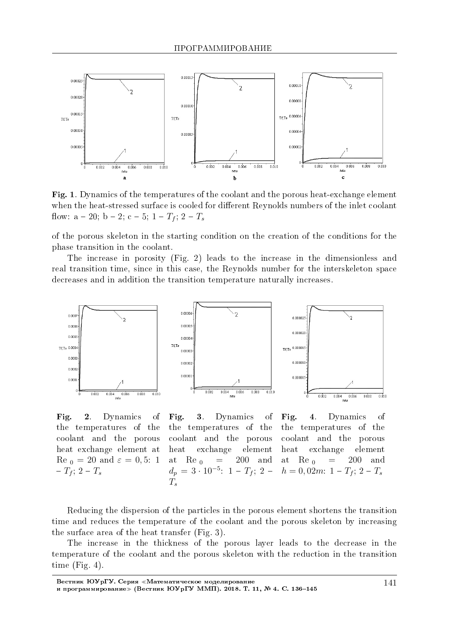

Fig. 1. Dynamics of the temperatures of the coolant and the porous heat-exchange element when the heat-stressed surface is cooled for different Reynolds numbers of the inlet coolant flow:  $a - 20$ ;  $b - 2$ ;  $c - 5$ ;  $1 - T_f$ ;  $2 - T_s$ 

of the porous skeleton in the starting condition on the creation of the conditions for the phase transition in the coolant.

The increase in porosity (Fig. 2) leads to the increase in the dimensionless and real transition time, since in this case, the Reynolds number for the interskeleton space decreases and in addition the transition temperature naturally increases.



Fig. 2. Dynamics of the temperatures of the coolant and the porous heat exchange element at  $\text{Re } \theta = 20 \text{ and } \varepsilon = 0, 5: 1$  $-T_f$ ; 2 –  $T_s$ 

Fig. 3. Dynamics of the temperatures of the coolant and the porous heat exchange element at Re  $_0$  = 200 and  $d_p = 3 \cdot 10^{-5}$ : 1 -  $T_f$ ; 2 -*Ts*

Fig. 4. Dynamics of the temperatures of the coolant and the porous heat exchange element at Re  $_0$  = 200 and  $h = 0,02m: 1 - T_f; 2 - T_s$ 

Reducing the dispersion of the particles in the porous element shortens the transition time and reduces the temperature of the coolant and the porous skeleton by increasing the surface area of the heat transfer (Fig. 3).

The increase in the thickness of the porous layer leads to the decrease in the temperature of the coolant and the porous skeleton with the reduction in the transition time (Fig. 4).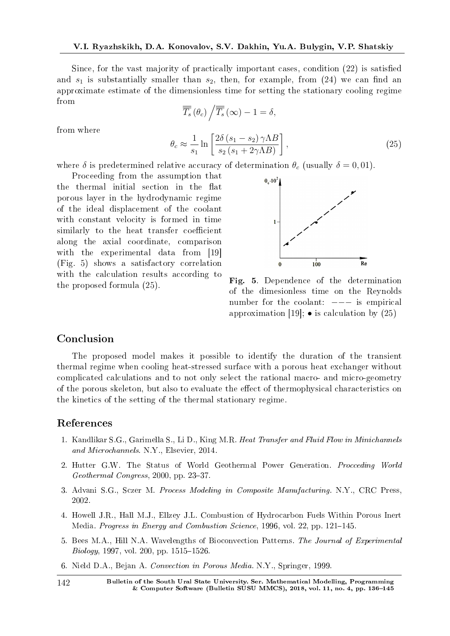Since, for the vast majority of practically important cases, condition (22) is satised and  $s_1$  is substantially smaller than  $s_2$ , then, for example, from (24) we can find an approximate estimate of the dimensionless time for setting the stationary cooling regime from

$$
\overline{\overline{T_s}}\left(\theta_c\right) / \overline{\overline{T_s}}\left(\infty\right) - 1 = \delta,
$$
\n
$$
\theta_c \approx \frac{1}{s_1} \ln \left[ \frac{2\delta \left(s_1 - s_2\right) \gamma \Lambda B}{s_2 \left(s_1 + 2\gamma \Lambda B\right)} \right],
$$
\n(25)

where  $\delta$  is predetermined relative accuracy of determination  $\theta_c$  (usually  $\delta = 0.01$ ).

Proceeding from the assumption that the thermal initial section in the flat porous layer in the hydrodynamic regime of the ideal displacement of the coolant with constant velocity is formed in time similarly to the heat transfer coefficient along the axial coordinate, comparison with the experimental data from [19] (Fig. 5) shows a satisfactory correlation with the calculation results according to the proposed formula (25).



Fig. 5. Dependence of the determination of the dimesionless time on the Reynolds number for the coolant: *−−−* is empirical approximation [19]; *•* is calculation by (25)

## Conclusion

from where

The proposed model makes it possible to identify the duration of the transient thermal regime when cooling heat-stressed surface with a porous heat exchanger without complicated calculations and to not only select the rational macro- and micro-geometry of the porous skeleton, but also to evaluate the effect of thermophysical characteristics on the kinetics of the setting of the thermal stationary regime.

# References

- 1. Kandlikar S.G., Garimella S., Li D., King M.R. Heat Transfer and Fluid Flow in Minichannels and Microchannels. N.Y., Elsevier, 2014.
- 2. Hutter G.W. The Status of World Geothermal Power Generation. Procceding World  $Geothermal~Congress, 2000, pp. 23-37.$
- 3. Advani S.G., Sczer M. Process Modeling in Composite Manufacturing. N.Y., CRC Press, 2002.
- 4. Howell J.R., Hall M.J., Ellzey J.L. Combustion of Hydrocarbon Fuels Within Porous Inert Media. Progress in Energy and Combustion Science, 1996, vol. 22, pp. 121–145.
- 5. Bees M.A., Hill N.A. Wavelengths of Bioconvection Patterns. The Journal of Experimental  $Biology, 1997, vol. 200, pp. 1515-1526.$
- 6. Nield D.A., Bejan A. Convection in Porous Media. N.Y., Springer, 1999.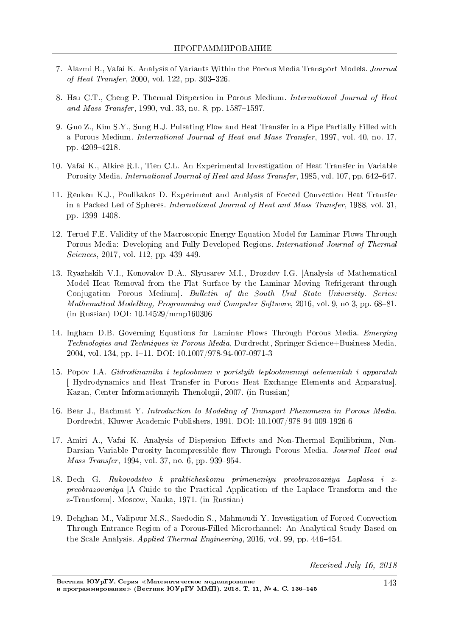- 7. Alazmi B., Vafai K. Analysis of Variants Within the Porous Media Transport Models. Journal of Heat Transfer, 2000, vol. 122, pp.  $303-326$ .
- 8. Hsu C.T., Cheng P. Thermal Dispersion in Porous Medium. International Journal of Heat and Mass Transfer, 1990, vol. 33, no. 8, pp.  $1587-1597$ .
- 9. Guo Z., Kim S.Y., Sung H.J. Pulsating Flow and Heat Transfer in a Pipe Partially Filled with a Porous Medium. International Journal of Heat and Mass Transfer, 1997, vol. 40, no. 17, pp. 4209-4218.
- 10. Vafai K., Alkire R.I., Tien C.L. An Experimental Investigation of Heat Transfer in Variable Porosity Media. International Journal of Heat and Mass Transfer, 1985, vol. 107, pp. 642–647.
- 11. Renken K.J., Poulikakos D. Experiment and Analysis of Forced Convection Heat Transfer in a Packed Led of Spheres. International Journal of Heat and Mass Transfer, 1988, vol. 31, pp. 1399-1408.
- 12. Teruel F.E. Validity of the Macroscopic Energy Equation Model for Laminar Flows Through Porous Media: Developing and Fully Developed Regions. International Journal of Thermal  $Sciences, 2017, vol. 112, pp. 439-449.$
- 13. Ryazhskih V.I., Konovalov D.A., Slyusarev M.I., Drozdov I.G. [Analysis of Mathematical Model Heat Removal from the Flat Surface by the Laminar Moving Refrigerant through Conjugation Porous Medium]. Bulletin of the South Ural State University. Series: Mathematical Modelling, Programming and Computer Software, 2016, vol. 9, no 3, pp. 68-81. (in Russian) DOI: 10.14529/mmp160306
- 14. Ingham D.B. Governing Equations for Laminar Flows Through Porous Media. Emerging Technologies and Techniques in Porous Media, Dordrecht, Springer Science+Business Media, 2004, vol. 134, pp. 1-11. DOI: 10.1007/978-94-007-0971-3
- 15. Popov I.A. Gidrodinamika i teploobmen v poristyih teploobmennyi aelementah i apparatah [ Hydrodynamics and Heat Transfer in Porous Heat Exchange Elements and Apparatus]. Kazan, Center Informacionnyih Thenologii, 2007. (in Russian)
- 16. Bear J., Bachmat Y. Introduction to Modeling of Transport Phenomena in Porous Media. Dordrecht, Kluwer Academic Publishers, 1991. DOI: 10.1007/978-94-009-1926-6
- 17. Amiri A., Vafai K. Analysis of Dispersion Effects and Non-Thermal Equilibrium, Non-Darsian Variable Porosity Incompressible flow Through Porous Media. Journal Heat and Mass Transfer, 1994, vol. 37, no. 6, pp. 939-954.
- 18. Dech G. Rukovodstvo k prakticheskomu primeneniyu preobrazovaniya Laplasa i zpreobrazovaniya [A Guide to the Practical Application of the Laplace Transform and the z-Transform]. Moscow, Nauka, 1971. (in Russian)
- 19. Dehghan M., Valipour M.S., Saedodin S., Mahmoudi Y. Investigation of Forced Convection Through Entrance Region of a Porous-Filled Microchannel: An Analytical Study Based on the Scale Analysis. Applied Thermal Engineering, 2016, vol. 99, pp. 446–454.

Received July 16, 2018

Вестник ЮУрГУ. Серия «Математическое моделирование и программирование≫ (Вестник ЮУрГУ ММП). 2018. Т. 11, № 4. С. 136-145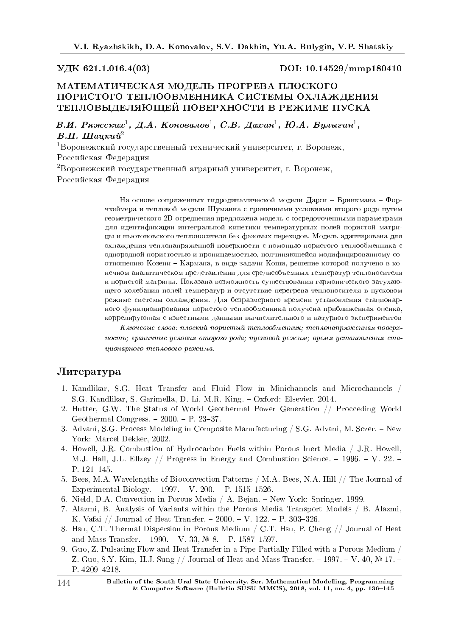#### VДК 621.1.016.4(03) DOI: 10.14529/mmp180410

# МАТЕМАТИЧЕСКАЯ МОДЕЛЬ ПРОГРЕВА ПЛОСКОГО ПОРИСТОГО ТЕПЛООБМЕННИКА СИСТЕМЫ ОХЛАЖДЕНИЯ ТЕПЛОВЫДЕЛЯЮЩЕЙ ПОВЕРХНОСТИ В РЕЖИМЕ ПУСКА

В.И. Ряжских $^1,\not\!\!A.$  Коновалов $^1,\ C.B.$  Да $x$ ин $^1,\ \pmb{E. A.}$  Булыгин $^1,$  $B.\Pi.$  *IIIauxuu*<sup>2</sup>

 $1$ Воронежский государственный технический университет, г. Воронеж, Российская Федерация <sup>2</sup>Воронежский государственный аграрный университет, г. Воронеж,

Российская Федерация

На основе сопряженных гидродинамической модели Дарси – Бринкмана – Форчхеймера и тепловой модели Шуманна с граничными условиями второго рода путем геометрического 2D-осреднения предложена модель с сосредоточенными параметрами для идентификации интегральной кинетики температурных полей пористой матрицы и ньютоновского теплоносителя без фазовых переходов. Модель адаптирована для охлаждения теплонапряженной поверхности с помощью пористого теплообменника с однородной пористостью и проницаемостью, подчиняющейся модифицированному соотношению Козени - Кармана, в виде задачи Коши, решение которой получено в конечном аналитическом представлении для среднеобъемных температур теплоносителя и пористой матрицы. Показана возможность существования гармонического затухающего колебания полей температур и отсутствие перегрева теплоносителя в пусковом режиме системы охлаждения. Для безразмерного времени установления стационарного функционирования пористого теплообменника получена приближенная оценка, коррелирующая с известными данными вычислительного и натурного экспериментов

 $K$ лючевые слова: плоский пористый теплообменник; теплонапряженная поверхность; граничные условия второго рода; пусковой режим; время установления ста $uu$ онарного теплового режима.

# $J$ <sub>*M*Teparypa</sub>

- 1. Kandlikar, S.G. Heat Transfer and Fluid Flow in Minichannels and Microchannels / S.G. Kandlikar, S. Garimella, D. Li, M.R. King. Oxford: Elsevier, 2014.
- 2. Hutter, G.W. The Status of World Geothermal Power Generation // Procceding World Geothermal Congress.  $-2000$ .  $- P. 23-37$ .
- 3. Advani, S.G. Process Modeling in Composite Manufacturing / S.G. Advani, M. Sczer. New York: Marcel Dekker, 2002.
- 4. Howell, J.R. Combustion of Hydrocarbon Fuels within Porous Inert Media / J.R. Howell, M.J. Hall, J.L. Ellzey  $//$  Progress in Energy and Combustion Science.  $-$  1996.  $-$  V. 22.  $-$ P.  $121-145$ .
- 5. Bees, M.A. Wavelengths of Bioconvection Patterns / M.A. Bees, N.A. Hill // The Journal of Experimental Biology.  $-1997. -V. 200. -P. 1515-1526.$
- 6. Nield, D.A. Convection in Porous Media / A. Bejan. New York: Springer, 1999.
- 7. Alazmi, B. Analysis of Variants within the Porous Media Transport Models / B. Alazmi, K. Vafai  $//$  Journal of Heat Transfer.  $-2000. -V.$  122.  $- P.$  303-326.
- 8. Hsu, C.T. Thermal Dispersion in Porous Medium / C.T. Hsu, P. Cheng // Journal of Heat and Mass Transfer. - 1990. - V. 33,  $N_2$  8. - P. 1587-1597.
- 9. Guo, Z. Pulsating Flow and Heat Transfer in a Pipe Partially Filled with a Porous Medium / Z. Guo, S.Y. Kim, H.J. Sung // Journal of Heat and Mass Transfer.  $-1997. -V. 40, N<sup>2</sup>17. -$ P. 4209-4218.